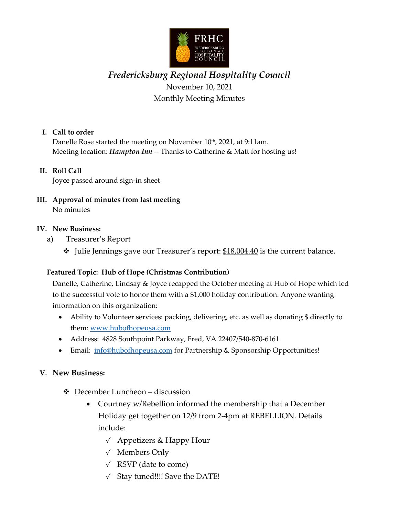

# *Fredericksburg Regional Hospitality Council* November 10, 2021 Monthly Meeting Minutes

#### **I. Call to order**

Danelle Rose started the meeting on November 10<sup>th</sup>, 2021, at 9:11am. Meeting location: *Hampton Inn* -- Thanks to Catherine & Matt for hosting us!

#### **II. Roll Call**

Joyce passed around sign-in sheet

**III. Approval of minutes from last meeting** No minutes

#### **IV. New Business:**

- a) Treasurer's Report
	- Julie Jennings gave our Treasurer's report: \$18,004.40 is the current balance.

#### **Featured Topic: Hub of Hope (Christmas Contribution)**

Danelle, Catherine, Lindsay & Joyce recapped the October meeting at Hub of Hope which led to the successful vote to honor them with a  $$1,000$  holiday contribution. Anyone wanting information on this organization:

- Ability to Volunteer services: packing, delivering, etc. as well as donating \$ directly to them: [www.hubofhopeusa.com](http://www.hubofhopeusa.com/)
- Address: 4828 Southpoint Parkway, Fred, VA 22407/540-870-6161
- Email: [info@hubofhopeusa.com](mailto:info@hubofhopeusa.com) for Partnership & Sponsorship Opportunities!

#### **V. New Business:**

- December Luncheon discussion
	- Courtney w/Rebellion informed the membership that a December Holiday get together on 12/9 from 2-4pm at REBELLION. Details include:
		- √ Appetizers & Happy Hour
		- √ Members Only
		- $\sqrt{ }$  RSVP (date to come)
		- $\checkmark$  Stay tuned!!!! Save the DATE!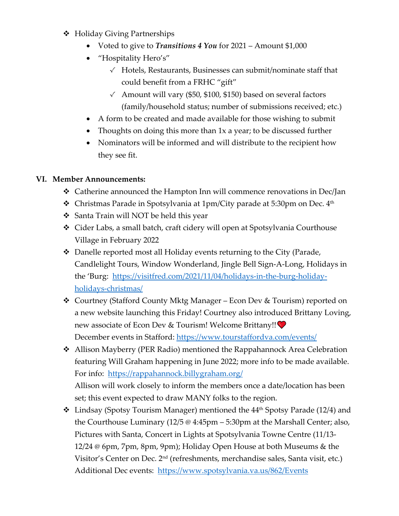- Holiday Giving Partnerships
	- Voted to give to *Transitions 4 You* for 2021 Amount \$1,000
	- "Hospitality Hero's"
		- √ Hotels, Restaurants, Businesses can submit/nominate staff that could benefit from a FRHC "gift"
		- $\checkmark$  Amount will vary (\$50, \$100, \$150) based on several factors (family/household status; number of submissions received; etc.)
	- A form to be created and made available for those wishing to submit
	- Thoughts on doing this more than 1x a year; to be discussed further
	- Nominators will be informed and will distribute to the recipient how they see fit.

### **VI. Member Announcements:**

- Catherine announced the Hampton Inn will commence renovations in Dec/Jan
- $\hat{\mathbf{v}}$  Christmas Parade in Spotsylvania at 1pm/City parade at 5:30pm on Dec.  $4<sup>th</sup>$
- ❖ Santa Train will NOT be held this year
- Cider Labs, a small batch, craft cidery will open at Spotsylvania Courthouse Village in February 2022
- Danelle reported most all Holiday events returning to the City (Parade, Candlelight Tours, Window Wonderland, Jingle Bell Sign-A-Long, Holidays in the 'Burg: [https://visitfred.com/2021/11/04/holidays-in-the-burg-holiday](https://visitfred.com/2021/11/04/holidays-in-the-burg-holiday-holidays-christmas/)[holidays-christmas/](https://visitfred.com/2021/11/04/holidays-in-the-burg-holiday-holidays-christmas/)
- Courtney (Stafford County Mktg Manager Econ Dev & Tourism) reported on a new website launching this Friday! Courtney also introduced Brittany Loving, new associate of Econ Dev & Tourism! Welcome Brittany!! December events in Stafford:<https://www.tourstaffordva.com/events/>
- ◆ Allison Mayberry (PER Radio) mentioned the Rappahannock Area Celebration featuring Will Graham happening in June 2022; more info to be made available. For info: <https://rappahannock.billygraham.org/>

Allison will work closely to inform the members once a date/location has been set; this event expected to draw MANY folks to the region.

 $\div$  Lindsay (Spotsy Tourism Manager) mentioned the 44<sup>th</sup> Spotsy Parade (12/4) and the Courthouse Luminary (12/5 @ 4:45pm – 5:30pm at the Marshall Center; also, Pictures with Santa, Concert in Lights at Spotsylvania Towne Centre (11/13- 12/24 @ 6pm, 7pm, 8pm, 9pm); Holiday Open House at both Museums & the Visitor's Center on Dec. 2nd (refreshments, merchandise sales, Santa visit, etc.) Additional Dec events: <https://www.spotsylvania.va.us/862/Events>